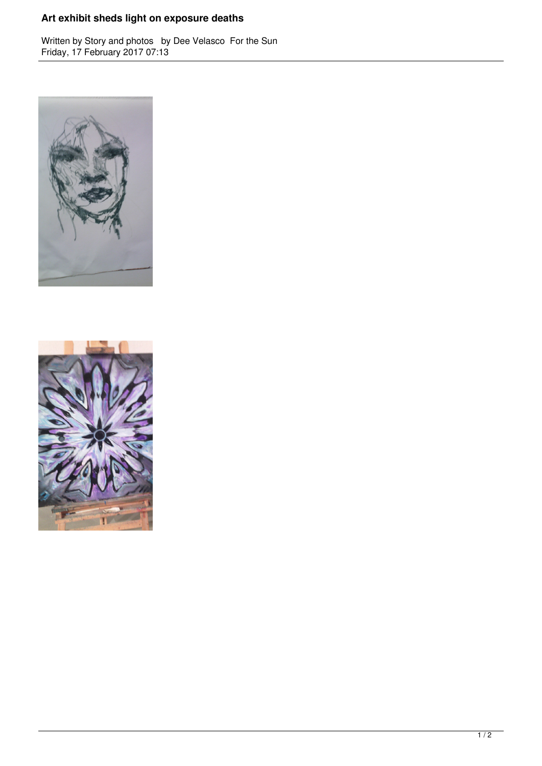## **Art exhibit sheds light on exposure deaths**

Written by Story and photos by Dee Velasco For the Sun Friday, 17 February 2017 07:13